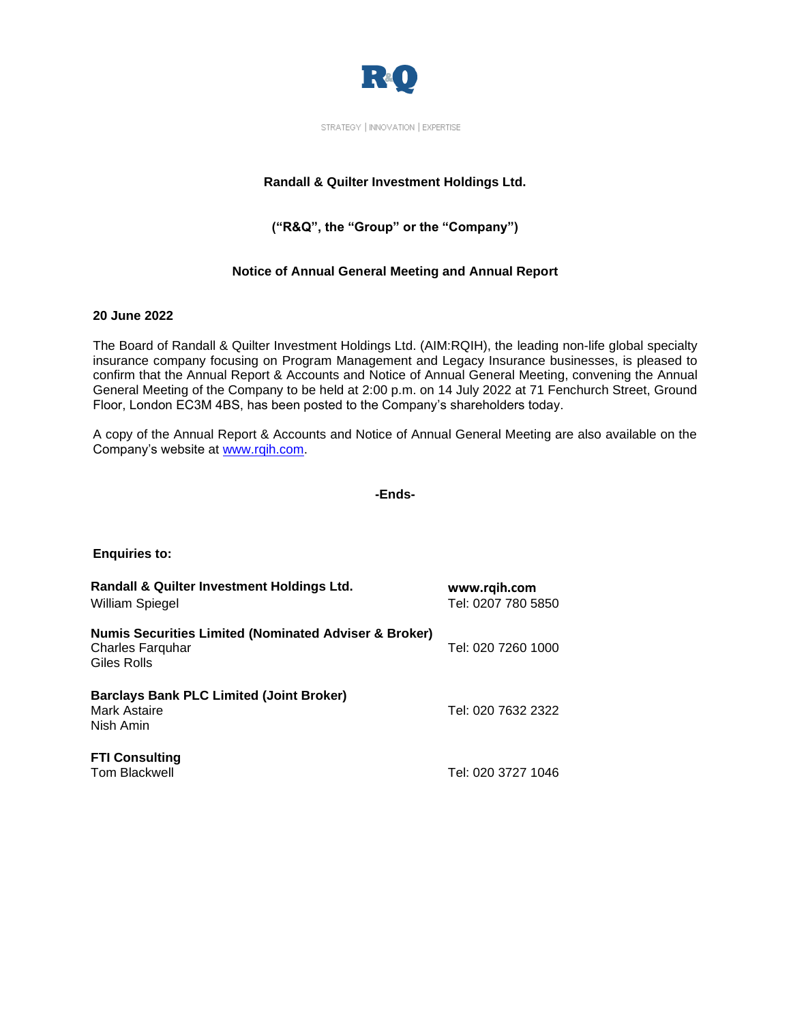

STRATEGY | INNOVATION | EXPERTISE

## **Randall & Quilter Investment Holdings Ltd.**

# **("R&Q", the "Group" or the "Company")**

## **Notice of Annual General Meeting and Annual Report**

### **20 June 2022**

The Board of Randall & Quilter Investment Holdings Ltd. (AIM:RQIH), the leading non-life global specialty insurance company focusing on Program Management and Legacy Insurance businesses, is pleased to confirm that the Annual Report & Accounts and Notice of Annual General Meeting, convening the Annual General Meeting of the Company to be held at 2:00 p.m. on 14 July 2022 at 71 Fenchurch Street, Ground Floor, London EC3M 4BS, has been posted to the Company's shareholders today.

A copy of the Annual Report & Accounts and Notice of Annual General Meeting are also available on the Company's website at [www.rqih.com.](http://www.rqih.com/)

#### **-Ends-**

| <b>Enquiries to:</b> |  |
|----------------------|--|
|                      |  |

| Randall & Quilter Investment Holdings Ltd.<br>William Spiegel                                       | www.rqih.com<br>Tel: 0207 780 5850 |
|-----------------------------------------------------------------------------------------------------|------------------------------------|
| <b>Numis Securities Limited (Nominated Adviser &amp; Broker)</b><br>Charles Farquhar<br>Giles Rolls | Tel: 020 7260 1000                 |
| <b>Barclays Bank PLC Limited (Joint Broker)</b><br>Mark Astaire<br>Nish Amin                        | Tel: 020 7632 2322                 |
| <b>FTI Consulting</b><br><b>Tom Blackwell</b>                                                       | Tel: 020 3727 1046                 |